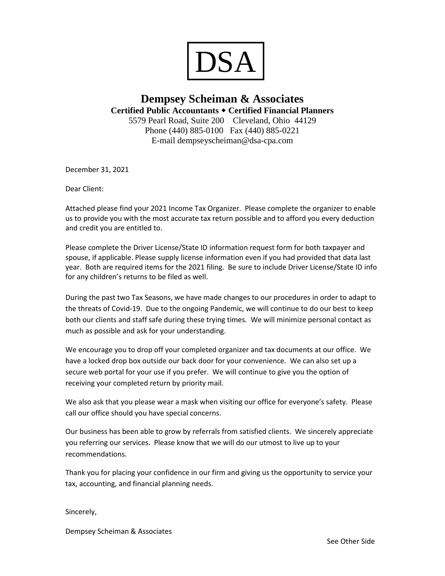

#### **Dempsey Scheiman & Associates Certified Public Accountants Certified Financial Planners** 5579 Pearl Road, Suite 200 Cleveland, Ohio 44129

Phone (440) 885-0100 Fax (440) 885-0221 E-mail dempseyscheiman@dsa-cpa.com

December 31, 2021

Dear Client:

Attached please find your 2021 Income Tax Organizer. Please complete the organizer to enable us to provide you with the most accurate tax return possible and to afford you every deduction and credit you are entitled to.

Please complete the Driver License/State ID information request form for both taxpayer and spouse, if applicable. Please supply license information even if you had provided that data last year. Both are required items for the 2021 filing. Be sure to include Driver License/State ID info for any children's returns to be filed as well.

During the past two Tax Seasons, we have made changes to our procedures in order to adapt to the threats of Covid-19. Due to the ongoing Pandemic, we will continue to do our best to keep both our clients and staff safe during these trying times. We will minimize personal contact as much as possible and ask for your understanding.

We encourage you to drop off your completed organizer and tax documents at our office. We have a locked drop box outside our back door for your convenience. We can also set up a secure web portal for your use if you prefer. We will continue to give you the option of receiving your completed return by priority mail.

We also ask that you please wear a mask when visiting our office for everyone's safety. Please call our office should you have special concerns.

Our business has been able to grow by referrals from satisfied clients. We sincerely appreciate you referring our services. Please know that we will do our utmost to live up to your recommendations.

Thank you for placing your confidence in our firm and giving us the opportunity to service your tax, accounting, and financial planning needs.

Sincerely,

Dempsey Scheiman & Associates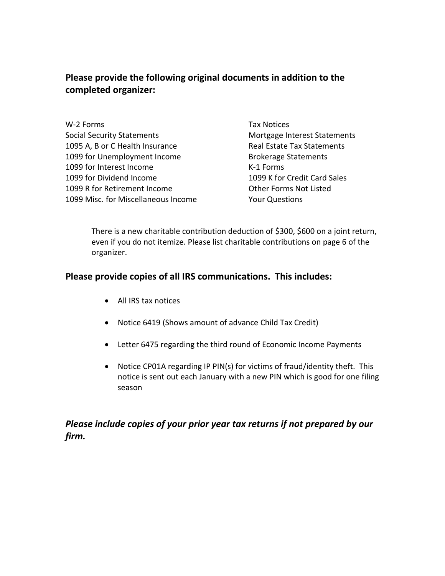### **Please provide the following original documents in addition to the completed organizer:**

| W-2 Forms                           |
|-------------------------------------|
| <b>Social Security Statements</b>   |
| 1095 A, B or C Health Insurance     |
| 1099 for Unemployment Income        |
| 1099 for Interest Income            |
| 1099 for Dividend Income            |
| 1099 R for Retirement Income        |
| 1099 Misc. for Miscellaneous Income |

Tax Notices Mortgage Interest Statements Real Estate Tax Statements Brokerage Statements K-1 Forms 1099 K for Credit Card Sales Other Forms Not Listed Your Questions

There is a new charitable contribution deduction of \$300, \$600 on a joint return, even if you do not itemize. Please list charitable contributions on page 6 of the organizer.

### **Please provide copies of all IRS communications. This includes:**

- All IRS tax notices
- Notice 6419 (Shows amount of advance Child Tax Credit)
- Letter 6475 regarding the third round of Economic Income Payments
- Notice CP01A regarding IP PIN(s) for victims of fraud/identity theft. This notice is sent out each January with a new PIN which is good for one filing season

### *Please include copies of your prior year tax returns if not prepared by our firm.*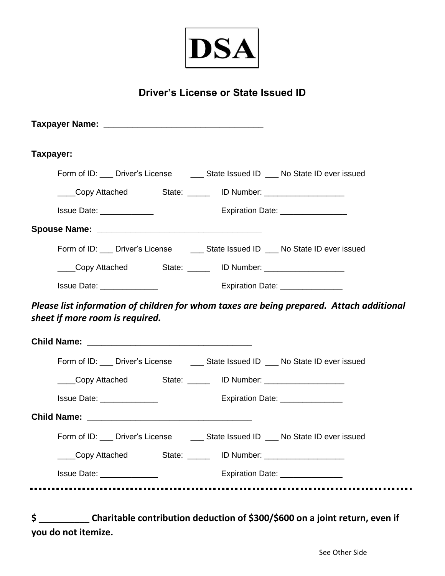

## **Driver's License or State Issued ID**

| Taxpayer:                       |                            |  |                                                                                          |
|---------------------------------|----------------------------|--|------------------------------------------------------------------------------------------|
|                                 |                            |  | Form of ID: ___ Driver's License ______ State Issued ID ___ No State ID ever issued      |
|                                 |                            |  |                                                                                          |
|                                 | Issue Date: _____________  |  | Expiration Date: _________________                                                       |
|                                 |                            |  |                                                                                          |
|                                 |                            |  | Form of ID: ___ Driver's License ______ State Issued ID ___ No State ID ever issued      |
|                                 |                            |  | Copy Attached State: ______ ID Number: ____________________                              |
|                                 |                            |  |                                                                                          |
|                                 |                            |  | Please list information of children for whom taxes are being prepared. Attach additional |
|                                 |                            |  |                                                                                          |
|                                 |                            |  | Form of ID: ___ Driver's License ______ State Issued ID ___ No State ID ever issued      |
|                                 |                            |  | Copy Attached State: ______ ID Number: ____________________                              |
|                                 | Issue Date: ______________ |  | Expiration Date: ________________                                                        |
| sheet if more room is required. |                            |  |                                                                                          |
|                                 |                            |  |                                                                                          |
|                                 | Copy Attached              |  |                                                                                          |

**\$ \_\_\_\_\_\_\_\_\_\_ Charitable contribution deduction of \$300/\$600 on a joint return, even if you do not itemize.**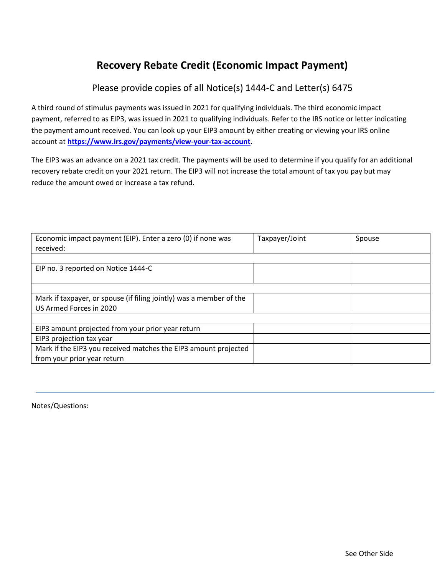## **Recovery Rebate Credit (Economic Impact Payment)**

Please provide copies of all Notice(s) 1444-C and Letter(s) 6475

A third round of stimulus payments was issued in 2021 for qualifying individuals. The third economic impact payment, referred to as EIP3, was issued in 2021 to qualifying individuals. Refer to the IRS notice or letter indicating the payment amount received. You can look up your EIP3 amount by either creating or viewing your IRS online account at **[https://www.irs.gov/payments/view-your-tax-account.](https://www.irs.gov/payments/view-your-tax-account)**

The EIP3 was an advance on a 2021 tax credit. The payments will be used to determine if you qualify for an additional recovery rebate credit on your 2021 return. The EIP3 will not increase the total amount of tax you pay but may reduce the amount owed or increase a tax refund.

| Economic impact payment (EIP). Enter a zero (0) if none was<br>received: | Taxpayer/Joint | Spouse |
|--------------------------------------------------------------------------|----------------|--------|
|                                                                          |                |        |
| EIP no. 3 reported on Notice 1444-C                                      |                |        |
|                                                                          |                |        |
|                                                                          |                |        |
| Mark if taxpayer, or spouse (if filing jointly) was a member of the      |                |        |
| US Armed Forces in 2020                                                  |                |        |
|                                                                          |                |        |
| EIP3 amount projected from your prior year return                        |                |        |
| EIP3 projection tax year                                                 |                |        |
| Mark if the EIP3 you received matches the EIP3 amount projected          |                |        |
| from your prior year return                                              |                |        |

Notes/Questions: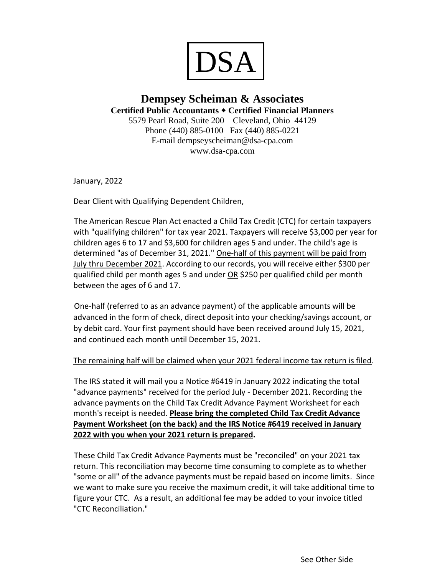

### **Dempsey Scheiman & Associates Certified Public Accountants Certified Financial Planners** 5579 Pearl Road, Suite 200 Cleveland, Ohio 44129 Phone (440) 885-0100 Fax (440) 885-0221 E-mail dempseyscheiman@dsa-cpa.com www.dsa-cpa.com

January, 2022

Dear Client with Qualifying Dependent Children,

The American Rescue Plan Act enacted a Child Tax Credit (CTC) for certain taxpayers with "qualifying children" for tax year 2021. Taxpayers will receive \$3,000 per year for children ages 6 to 17 and \$3,600 for children ages 5 and under. The child's age is determined "as of December 31, 2021." One-half of this payment will be paid from July thru December 2021. According to our records, you will receive either \$300 per qualified child per month ages 5 and under OR \$250 per qualified child per month between the ages of 6 and 17.

One-half (referred to as an advance payment) of the applicable amounts will be advanced in the form of check, direct deposit into your checking/savings account, or by debit card. Your first payment should have been received around July 15, 2021, and continued each month until December 15, 2021.

#### The remaining half will be claimed when your 2021 federal income tax return is filed.

The IRS stated it will mail you a Notice #6419 in January 2022 indicating the total "advance payments" received for the period July - December 2021. Recording the advance payments on the Child Tax Credit Advance Payment Worksheet for each month's receipt is needed. **Please bring the completed Child Tax Credit Advance Payment Worksheet (on the back) and the IRS Notice #6419 received in January 2022 with you when your 2021 return is prepared.**

These Child Tax Credit Advance Payments must be "reconciled" on your 2021 tax return. This reconciliation may become time consuming to complete as to whether "some or all" of the advance payments must be repaid based on income limits. Since we want to make sure you receive the maximum credit, it will take additional time to figure your CTC. As a result, an additional fee may be added to your invoice titled "CTC Reconciliation."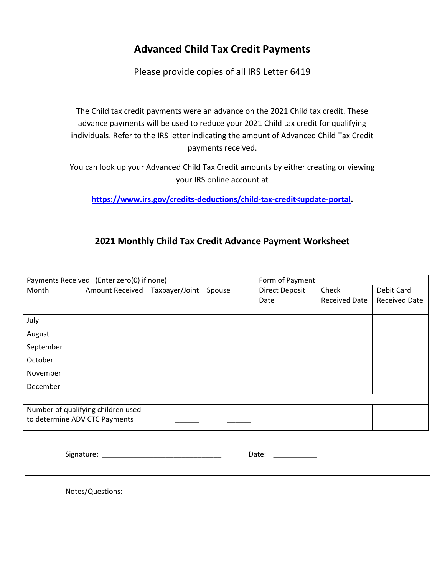## **Advanced Child Tax Credit Payments**

Please provide copies of all IRS Letter 6419

The Child tax credit payments were an advance on the 2021 Child tax credit. These advance payments will be used to reduce your 2021 Child tax credit for qualifying individuals. Refer to the IRS letter indicating the amount of Advanced Child Tax Credit payments received.

You can look up your Advanced Child Tax Credit amounts by either creating or viewing your IRS online account at

**[https://www.irs.gov/credits-deductions/child-tax-credit<update-portal.](https://www.irs.gov/credits-deductions/child-tax-credit%3cupdate-portal)**

### **2021 Monthly Child Tax Credit Advance Payment Worksheet**

| Payments Received (Enter zero(0) if none) |                                    |                |        | Form of Payment       |                      |                      |
|-------------------------------------------|------------------------------------|----------------|--------|-----------------------|----------------------|----------------------|
| Month                                     | <b>Amount Received</b>             | Taxpayer/Joint | Spouse | <b>Direct Deposit</b> | Check                | Debit Card           |
|                                           |                                    |                |        | Date                  | <b>Received Date</b> | <b>Received Date</b> |
|                                           |                                    |                |        |                       |                      |                      |
| July                                      |                                    |                |        |                       |                      |                      |
| August                                    |                                    |                |        |                       |                      |                      |
| September                                 |                                    |                |        |                       |                      |                      |
| October                                   |                                    |                |        |                       |                      |                      |
| November                                  |                                    |                |        |                       |                      |                      |
| December                                  |                                    |                |        |                       |                      |                      |
|                                           |                                    |                |        |                       |                      |                      |
|                                           | Number of qualifying children used |                |        |                       |                      |                      |
| to determine ADV CTC Payments             |                                    |                |        |                       |                      |                      |

Signature: \_\_\_\_\_\_\_\_\_\_\_\_\_\_\_\_\_\_\_\_\_\_\_\_\_\_\_\_\_\_ Date: \_\_\_\_\_\_\_\_\_\_\_

Notes/Questions: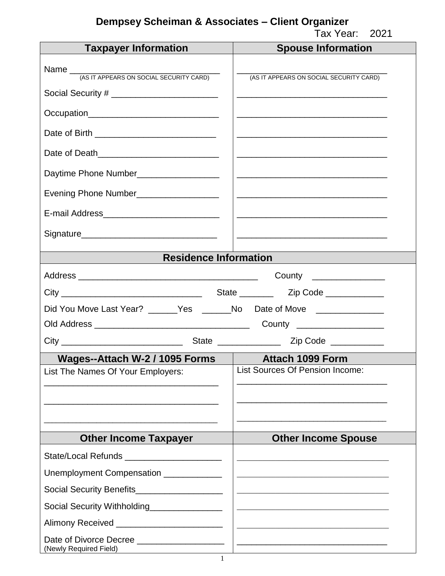| <b>Taxpayer Information</b>                                                | <b>Spouse Information</b>                                                                                             |
|----------------------------------------------------------------------------|-----------------------------------------------------------------------------------------------------------------------|
|                                                                            |                                                                                                                       |
|                                                                            | (AS IT APPEARS ON SOCIAL SECURITY CARD)                                                                               |
| Social Security # __________________________                               |                                                                                                                       |
|                                                                            |                                                                                                                       |
| Date of Birth ________________________________                             | <u> 1989 - Johann Harry Harry Harry Harry Harry Harry Harry Harry Harry Harry Harry Harry Harry Harry Harry Harry</u> |
| Date of Death_______________________________                               |                                                                                                                       |
| Daytime Phone Number__________________                                     |                                                                                                                       |
| Evening Phone Number___________________                                    |                                                                                                                       |
| E-mail Address______________________________                               |                                                                                                                       |
|                                                                            |                                                                                                                       |
| <b>Residence Information</b>                                               |                                                                                                                       |
|                                                                            | County _________________                                                                                              |
|                                                                            |                                                                                                                       |
| Did You Move Last Year? ______Yes _______No Date of Move ________________  |                                                                                                                       |
|                                                                            |                                                                                                                       |
|                                                                            |                                                                                                                       |
| Wages--Attach W-2 / 1095 Forms                                             | <b>Attach 1099 Form</b>                                                                                               |
| List The Names Of Your Employers:                                          | <b>List Sources Of Pension Income:</b>                                                                                |
|                                                                            |                                                                                                                       |
|                                                                            |                                                                                                                       |
|                                                                            |                                                                                                                       |
| <b>Other Income Taxpayer</b>                                               | <b>Other Income Spouse</b>                                                                                            |
| State/Local Refunds _______________________                                |                                                                                                                       |
| Unemployment Compensation _____________                                    |                                                                                                                       |
| Social Security Benefits_____________________                              |                                                                                                                       |
| Social Security Withholding                                                |                                                                                                                       |
|                                                                            |                                                                                                                       |
| Date of Divorce Decree ____________________<br>(Newly Required Field)<br>1 |                                                                                                                       |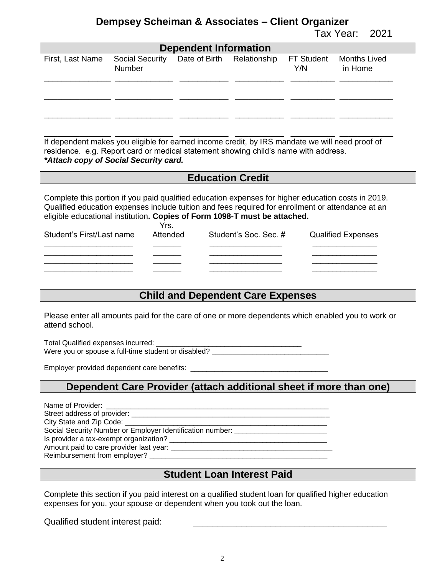Tax Year: 2021

|                                                                                                                                                                                                                                |                                                                    | <b>Dependent Information</b> |                                          |                   |                                                                                                   |
|--------------------------------------------------------------------------------------------------------------------------------------------------------------------------------------------------------------------------------|--------------------------------------------------------------------|------------------------------|------------------------------------------|-------------------|---------------------------------------------------------------------------------------------------|
| First, Last Name                                                                                                                                                                                                               | Social Security Date of Birth<br><b>Number</b>                     |                              | Relationship                             | FT Student<br>Y/N | <b>Months Lived</b><br>in Home                                                                    |
| If dependent makes you eligible for earned income credit, by IRS mandate we will need proof of<br>residence. e.g. Report card or medical statement showing child's name with address.<br>*Attach copy of Social Security card. |                                                                    |                              |                                          |                   |                                                                                                   |
|                                                                                                                                                                                                                                |                                                                    |                              | <b>Education Credit</b>                  |                   |                                                                                                   |
| Qualified education expenses include tuition and fees required for enrollment or attendance at an<br>eligible educational institution. Copies of Form 1098-T must be attached.<br>Student's First/Last name                    | Yrs.<br>Attended                                                   |                              | Student's Soc. Sec. #                    |                   | <b>Qualified Expenses</b>                                                                         |
|                                                                                                                                                                                                                                |                                                                    |                              |                                          |                   |                                                                                                   |
|                                                                                                                                                                                                                                |                                                                    |                              |                                          |                   |                                                                                                   |
|                                                                                                                                                                                                                                |                                                                    |                              | <b>Child and Dependent Care Expenses</b> |                   |                                                                                                   |
| attend school.                                                                                                                                                                                                                 |                                                                    |                              |                                          |                   | Please enter all amounts paid for the care of one or more dependents which enabled you to work or |
| Were you or spouse a full-time student or disabled? ____________________________                                                                                                                                               |                                                                    |                              |                                          |                   |                                                                                                   |
|                                                                                                                                                                                                                                |                                                                    |                              |                                          |                   |                                                                                                   |
|                                                                                                                                                                                                                                | Dependent Care Provider (attach additional sheet if more than one) |                              |                                          |                   |                                                                                                   |
| Social Security Number or Employer Identification number: ______________________                                                                                                                                               |                                                                    |                              |                                          |                   |                                                                                                   |
|                                                                                                                                                                                                                                |                                                                    |                              | <b>Student Loan Interest Paid</b>        |                   |                                                                                                   |
| Complete this section if you paid interest on a qualified student loan for qualified higher education<br>expenses for you, your spouse or dependent when you took out the loan.                                                |                                                                    |                              |                                          |                   |                                                                                                   |
| Qualified student interest paid:                                                                                                                                                                                               |                                                                    |                              |                                          |                   |                                                                                                   |

2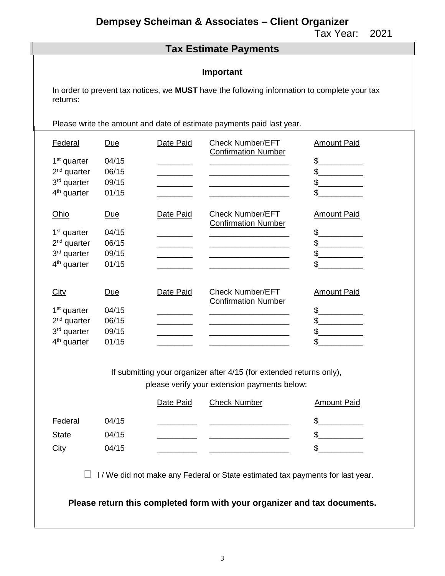Tax Year: 2021

### **Tax Estimate Payments**

#### **Important**

In order to prevent tax notices, we **MUST** have the following information to complete your tax returns:

Please write the amount and date of estimate payments paid last year.

| Federal<br>1 <sup>st</sup> quarter<br>$2nd$ quarter<br>3rd quarter<br>$4th$ quarter        | <u>Due</u><br>04/15<br>06/15<br>09/15<br>01/15 | Date Paid | <b>Check Number/EFT</b><br><b>Confirmation Number</b> | <b>Amount Paid</b><br>\$<br>\$<br>\$<br>\$ |
|--------------------------------------------------------------------------------------------|------------------------------------------------|-----------|-------------------------------------------------------|--------------------------------------------|
| Ohio<br>1 <sup>st</sup> quarter<br>$2nd$ quarter<br>3rd quarter<br>$4th$ quarter           | <u>Due</u><br>04/15<br>06/15<br>09/15<br>01/15 | Date Paid | <b>Check Number/EFT</b><br><b>Confirmation Number</b> | <b>Amount Paid</b><br>\$<br>\$<br>\$<br>\$ |
| City<br>1 <sup>st</sup> quarter<br>$2nd$ quarter<br>3rd quarter<br>4 <sup>th</sup> quarter | Due<br>04/15<br>06/15<br>09/15<br>01/15        | Date Paid | <b>Check Number/EFT</b><br><b>Confirmation Number</b> | <b>Amount Paid</b><br>\$<br>\$<br>\$<br>\$ |

If submitting your organizer after 4/15 (for extended returns only), please verify your extension payments below:

|              |       | Date Paid | <b>Check Number</b> | <b>Amount Paid</b> |
|--------------|-------|-----------|---------------------|--------------------|
| Federal      | 04/15 |           |                     |                    |
| <b>State</b> | 04/15 |           |                     |                    |
| City         | 04/15 |           |                     |                    |

 $\Box$  I/ We did not make any Federal or State estimated tax payments for last year.

**Please return this completed form with your organizer and tax documents.**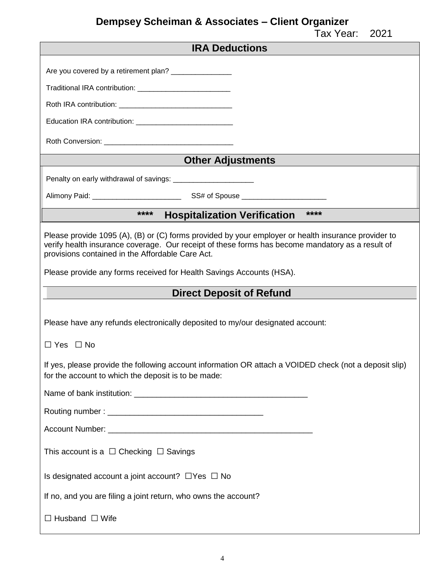| <b>IRA Deductions</b>                                                                                                                                                                                                                                       |
|-------------------------------------------------------------------------------------------------------------------------------------------------------------------------------------------------------------------------------------------------------------|
| Are you covered by a retirement plan? _________________                                                                                                                                                                                                     |
|                                                                                                                                                                                                                                                             |
| Traditional IRA contribution: _____________________________                                                                                                                                                                                                 |
|                                                                                                                                                                                                                                                             |
|                                                                                                                                                                                                                                                             |
|                                                                                                                                                                                                                                                             |
| <b>Other Adjustments</b>                                                                                                                                                                                                                                    |
| Penalty on early withdrawal of savings: ________________________                                                                                                                                                                                            |
|                                                                                                                                                                                                                                                             |
| $****$<br><b>Hospitalization Verification ****</b>                                                                                                                                                                                                          |
|                                                                                                                                                                                                                                                             |
| Please provide 1095 (A), (B) or (C) forms provided by your employer or health insurance provider to<br>verify health insurance coverage. Our receipt of these forms has become mandatory as a result of<br>provisions contained in the Affordable Care Act. |
| Please provide any forms received for Health Savings Accounts (HSA).                                                                                                                                                                                        |
|                                                                                                                                                                                                                                                             |
|                                                                                                                                                                                                                                                             |
| <b>Direct Deposit of Refund</b>                                                                                                                                                                                                                             |
| Please have any refunds electronically deposited to my/our designated account:                                                                                                                                                                              |
| $\Box$ Yes $\Box$ No                                                                                                                                                                                                                                        |
| If yes, please provide the following account information OR attach a VOIDED check (not a deposit slip)<br>for the account to which the deposit is to be made:                                                                                               |
|                                                                                                                                                                                                                                                             |
|                                                                                                                                                                                                                                                             |
|                                                                                                                                                                                                                                                             |
| This account is a $\Box$ Checking $\Box$ Savings                                                                                                                                                                                                            |
| Is designated account a joint account? $\Box$ Yes $\Box$ No                                                                                                                                                                                                 |
| If no, and you are filing a joint return, who owns the account?                                                                                                                                                                                             |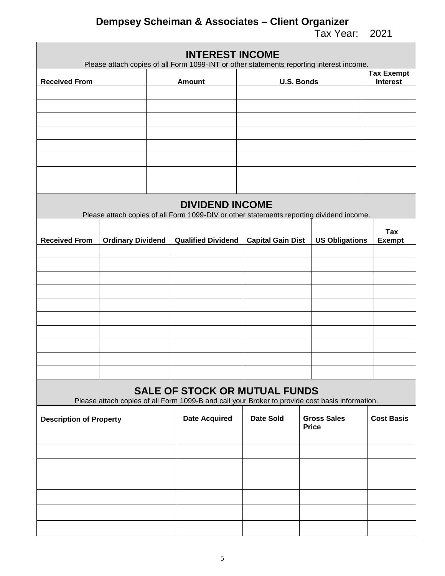|                                |                          | <b>INTEREST INCOME</b><br>Please attach copies of all Form 1099-INT or other statements reporting interest income.                      |                          |                                    |                                      |
|--------------------------------|--------------------------|-----------------------------------------------------------------------------------------------------------------------------------------|--------------------------|------------------------------------|--------------------------------------|
| <b>Received From</b>           |                          | <b>Amount</b>                                                                                                                           |                          | <b>U.S. Bonds</b>                  | <b>Tax Exempt</b><br><b>Interest</b> |
|                                |                          |                                                                                                                                         |                          |                                    |                                      |
|                                |                          |                                                                                                                                         |                          |                                    |                                      |
|                                |                          |                                                                                                                                         |                          |                                    |                                      |
|                                |                          |                                                                                                                                         |                          |                                    |                                      |
|                                |                          |                                                                                                                                         |                          |                                    |                                      |
|                                |                          |                                                                                                                                         |                          |                                    |                                      |
|                                |                          |                                                                                                                                         |                          |                                    |                                      |
|                                |                          |                                                                                                                                         |                          |                                    |                                      |
|                                |                          | <b>DIVIDEND INCOME</b><br>Please attach copies of all Form 1099-DIV or other statements reporting dividend income.                      |                          |                                    |                                      |
|                                |                          |                                                                                                                                         |                          |                                    | <b>Tax</b>                           |
| <b>Received From</b>           | <b>Ordinary Dividend</b> | <b>Qualified Dividend</b>                                                                                                               | <b>Capital Gain Dist</b> | <b>US Obligations</b>              | <b>Exempt</b>                        |
|                                |                          |                                                                                                                                         |                          |                                    |                                      |
|                                |                          |                                                                                                                                         |                          |                                    |                                      |
|                                |                          |                                                                                                                                         |                          |                                    |                                      |
|                                |                          |                                                                                                                                         |                          |                                    |                                      |
|                                |                          |                                                                                                                                         |                          |                                    |                                      |
|                                |                          |                                                                                                                                         |                          |                                    |                                      |
|                                |                          |                                                                                                                                         |                          |                                    |                                      |
|                                |                          |                                                                                                                                         |                          |                                    |                                      |
|                                |                          |                                                                                                                                         |                          |                                    |                                      |
|                                |                          |                                                                                                                                         |                          |                                    |                                      |
|                                |                          | <b>SALE OF STOCK OR MUTUAL FUNDS</b><br>Please attach copies of all Form 1099-B and call your Broker to provide cost basis information. |                          |                                    |                                      |
|                                |                          |                                                                                                                                         |                          |                                    |                                      |
| <b>Description of Property</b> |                          | <b>Date Acquired</b>                                                                                                                    | <b>Date Sold</b>         | <b>Gross Sales</b><br><b>Price</b> | <b>Cost Basis</b>                    |
|                                |                          |                                                                                                                                         |                          |                                    |                                      |
|                                |                          |                                                                                                                                         |                          |                                    |                                      |
|                                |                          |                                                                                                                                         |                          |                                    |                                      |
|                                |                          |                                                                                                                                         |                          |                                    |                                      |
|                                |                          |                                                                                                                                         |                          |                                    |                                      |
|                                |                          |                                                                                                                                         |                          |                                    |                                      |
|                                |                          |                                                                                                                                         |                          |                                    |                                      |
|                                |                          |                                                                                                                                         |                          |                                    |                                      |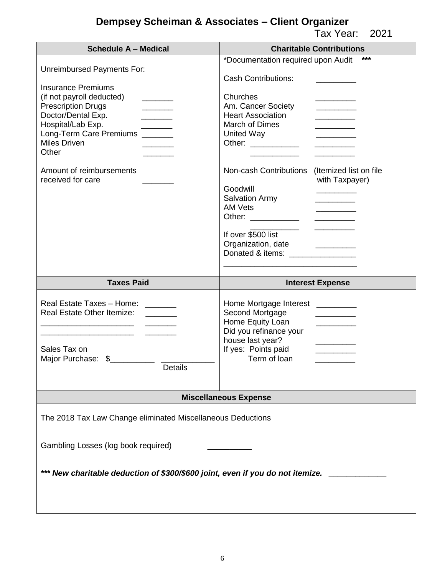| <b>Schedule A - Medical</b>                                                                                                                                                                                                                                                                                                                       | <b>Charitable Contributions</b>                                                                                                                                                                                                                                                                                                                                                                                                                      |
|---------------------------------------------------------------------------------------------------------------------------------------------------------------------------------------------------------------------------------------------------------------------------------------------------------------------------------------------------|------------------------------------------------------------------------------------------------------------------------------------------------------------------------------------------------------------------------------------------------------------------------------------------------------------------------------------------------------------------------------------------------------------------------------------------------------|
| Unreimbursed Payments For:<br><b>Insurance Premiums</b><br>(if not payroll deducted)<br><b>Prescription Drugs</b><br>______<br>Doctor/Dental Exp.<br>$\overline{\phantom{a}}$<br>Hospital/Lab Exp.<br>$\overline{\phantom{a}}$<br>Long-Term Care Premiums ______<br><b>Miles Driven</b><br>Other<br>Amount of reimbursements<br>received for care | ***<br>*Documentation required upon Audit<br><b>Cash Contributions:</b><br>Churches<br>Am. Cancer Society<br>________<br><b>Heart Association</b><br><b>March of Dimes</b><br>United Way<br>Other: ___________<br>Non-cash Contributions<br>(Itemized list on file)<br>with Taxpayer)<br>Goodwill<br><b>Salvation Army</b><br><b>AM Vets</b><br>Other: ____________<br>If over \$500 list<br>Organization, date<br>Donated & items: ________________ |
| <b>Taxes Paid</b>                                                                                                                                                                                                                                                                                                                                 | <b>Interest Expense</b>                                                                                                                                                                                                                                                                                                                                                                                                                              |
|                                                                                                                                                                                                                                                                                                                                                   |                                                                                                                                                                                                                                                                                                                                                                                                                                                      |
| Real Estate Taxes - Home: ______<br><b>Real Estate Other Itemize:</b><br>Sales Tax on<br>Major Purchase: \$<br><b>Details</b>                                                                                                                                                                                                                     | Home Mortgage Interest _________<br>Second Mortgage<br>Home Equity Loan<br><u> Listen van die Stadt van die Stadt van die Stadt van die Stadt van die Stadt van die Stadt van die Stadt van die Stadt van die Stadt van die Stadt van die Stadt van die Stadt van die Stadt van die Stadt van die Stadt van</u><br>Did you refinance your<br>house last year?<br>If yes: Points paid<br>Term of loan                                                 |
|                                                                                                                                                                                                                                                                                                                                                   | <b>Miscellaneous Expense</b>                                                                                                                                                                                                                                                                                                                                                                                                                         |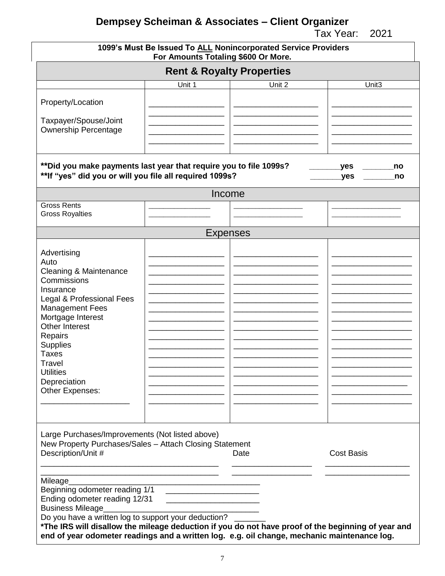|                                                                                                                                | For Amounts Totaling \$600 Or More. | 1099's Must Be Issued To ALL Nonincorporated Service Providers |                         |
|--------------------------------------------------------------------------------------------------------------------------------|-------------------------------------|----------------------------------------------------------------|-------------------------|
|                                                                                                                                |                                     | <b>Rent &amp; Royalty Properties</b>                           |                         |
|                                                                                                                                | Unit 1                              | Unit 2                                                         | Unit <sub>3</sub>       |
| Property/Location                                                                                                              |                                     |                                                                |                         |
|                                                                                                                                |                                     |                                                                |                         |
| Taxpayer/Spouse/Joint                                                                                                          |                                     |                                                                |                         |
| <b>Ownership Percentage</b>                                                                                                    |                                     |                                                                |                         |
|                                                                                                                                |                                     |                                                                |                         |
| ** Did you make payments last year that require you to file 1099s?<br>** If "yes" did you or will you file all required 1099s? |                                     |                                                                | yes_<br>no<br>yes<br>no |
|                                                                                                                                |                                     | Income                                                         |                         |
| <b>Gross Rents</b>                                                                                                             |                                     |                                                                |                         |
| <b>Gross Royalties</b>                                                                                                         |                                     |                                                                |                         |
|                                                                                                                                |                                     | <b>Expenses</b>                                                |                         |
|                                                                                                                                |                                     |                                                                |                         |
| Advertising                                                                                                                    |                                     |                                                                |                         |
| Auto                                                                                                                           |                                     |                                                                |                         |
| <b>Cleaning &amp; Maintenance</b><br>Commissions                                                                               |                                     |                                                                |                         |
| Insurance                                                                                                                      |                                     |                                                                |                         |
| Legal & Professional Fees                                                                                                      |                                     |                                                                |                         |
| <b>Management Fees</b>                                                                                                         |                                     |                                                                |                         |
| Mortgage Interest                                                                                                              |                                     |                                                                |                         |
| <b>Other Interest</b>                                                                                                          |                                     |                                                                |                         |
| Repairs                                                                                                                        |                                     |                                                                |                         |
| Supplies                                                                                                                       |                                     |                                                                |                         |
| <b>Taxes</b>                                                                                                                   |                                     |                                                                |                         |
| Travel                                                                                                                         |                                     |                                                                |                         |
| <b>Utilities</b>                                                                                                               |                                     |                                                                |                         |
| Depreciation                                                                                                                   |                                     |                                                                |                         |
| Other Expenses:                                                                                                                |                                     |                                                                |                         |
|                                                                                                                                |                                     |                                                                |                         |
|                                                                                                                                |                                     |                                                                |                         |
|                                                                                                                                |                                     |                                                                |                         |
| Large Purchases/Improvements (Not listed above)                                                                                |                                     |                                                                |                         |
| New Property Purchases/Sales - Attach Closing Statement<br>Description/Unit #                                                  |                                     | Date                                                           | <b>Cost Basis</b>       |
|                                                                                                                                |                                     |                                                                |                         |
|                                                                                                                                |                                     |                                                                |                         |
| Mileage                                                                                                                        |                                     |                                                                |                         |
| Beginning odometer reading 1/1                                                                                                 |                                     |                                                                |                         |
| Ending odometer reading 12/31                                                                                                  |                                     |                                                                |                         |
| <b>Business Mileage</b>                                                                                                        |                                     |                                                                |                         |
| Do you have a written log to support your deduction?                                                                           |                                     |                                                                |                         |